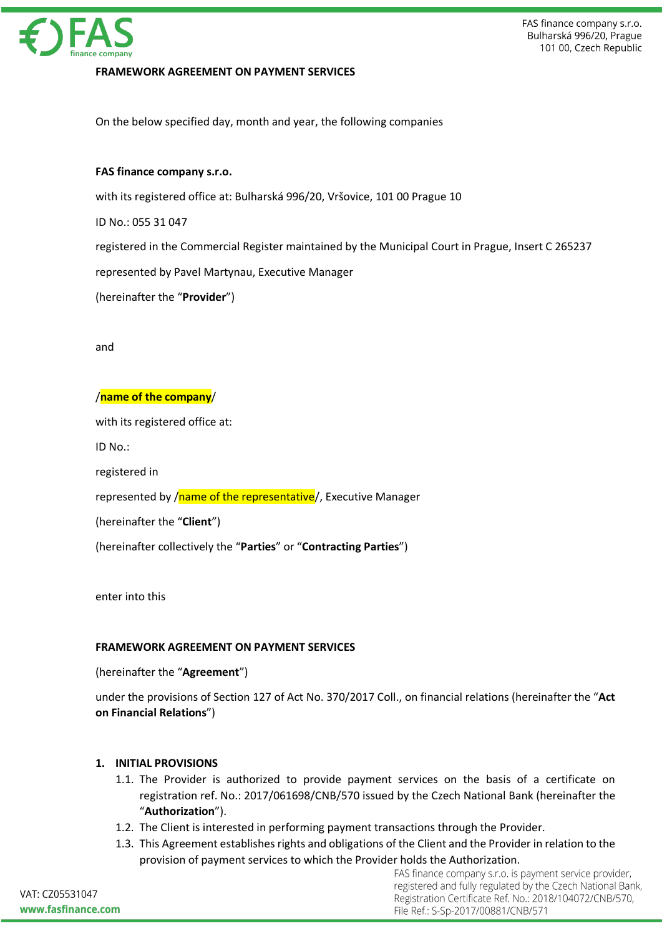

## **FRAMEWORK AGREEMENT ON PAYMENT SERVICES**

On the below specified day, month and year, the following companies

#### **FAS finance company s.r.o.**

with its registered office at: Bulharská 996/20, Vršovice, 101 00 Prague 10

ID No.: 055 31 047

registered in the Commercial Register maintained by the Municipal Court in Prague, Insert C 265237

represented by Pavel Martynau, Executive Manager

(hereinafter the "**Provider**")

and

#### /**name of the company**/

with its registered office at:

ID No.:

registered in

represented by /name of the representative/, Executive Manager

(hereinafter the "**Client**")

(hereinafter collectively the "**Parties**" or "**Contracting Parties**")

enter into this

#### **FRAMEWORK AGREEMENT ON PAYMENT SERVICES**

(hereinafter the "**Agreement**")

under the provisions of Section 127 of Act No. 370/2017 Coll., on financial relations (hereinafter the "**Act on Financial Relations**")

## **1. INITIAL PROVISIONS**

- 1.1. The Provider is authorized to provide payment services on the basis of a certificate on registration ref. No.: 2017/061698/CNB/570 issued by the Czech National Bank (hereinafter the "**Authorization**").
- 1.2. The Client is interested in performing payment transactions through the Provider.
- 1.3. This Agreement establishes rights and obligations of the Client and the Provider in relation to the provision of payment services to which the Provider holds the Authorization.

FAS finance company s.r.o. is payment service provider, registered and fully regulated by the Czech National Bank, Registration Certificate Ref. No.: 2018/104072/CNB/570, File Ref.: S-Sp-2017/00881/CNB/571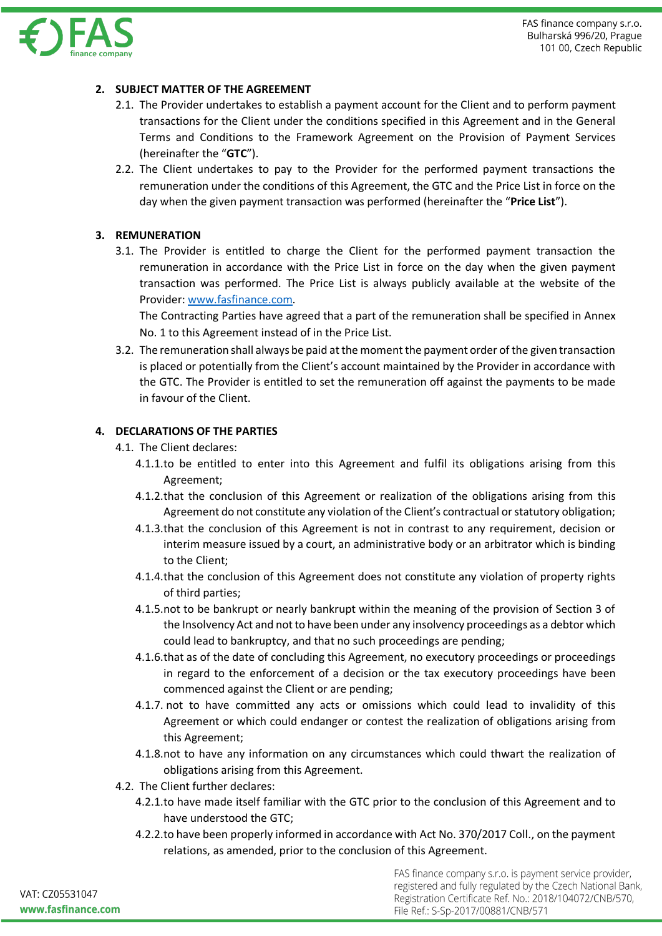

# **2. SUBJECT MATTER OF THE AGREEMENT**

- 2.1. The Provider undertakes to establish a payment account for the Client and to perform payment transactions for the Client under the conditions specified in this Agreement and in the General Terms and Conditions to the Framework Agreement on the Provision of Payment Services (hereinafter the "**GTC**").
- 2.2. The Client undertakes to pay to the Provider for the performed payment transactions the remuneration under the conditions of this Agreement, the GTC and the Price List in force on the day when the given payment transaction was performed (hereinafter the "**Price List**").

# **3. REMUNERATION**

3.1. The Provider is entitled to charge the Client for the performed payment transaction the remuneration in accordance with the Price List in force on the day when the given payment transaction was performed. The Price List is always publicly available at the website of the Provider: www.fasfinance.com.

The Contracting Parties have agreed that a part of the remuneration shall be specified in Annex No. 1 to this Agreement instead of in the Price List.

3.2. The remuneration shall always be paid at the moment the payment order of the given transaction is placed or potentially from the Client's account maintained by the Provider in accordance with the GTC. The Provider is entitled to set the remuneration off against the payments to be made in favour of the Client.

# **4. DECLARATIONS OF THE PARTIES**

- 4.1. The Client declares:
	- 4.1.1.to be entitled to enter into this Agreement and fulfil its obligations arising from this Agreement;
	- 4.1.2.that the conclusion of this Agreement or realization of the obligations arising from this Agreement do not constitute any violation of the Client's contractual or statutory obligation;
	- 4.1.3.that the conclusion of this Agreement is not in contrast to any requirement, decision or interim measure issued by a court, an administrative body or an arbitrator which is binding to the Client;
	- 4.1.4.that the conclusion of this Agreement does not constitute any violation of property rights of third parties;
	- 4.1.5.not to be bankrupt or nearly bankrupt within the meaning of the provision of Section 3 of the Insolvency Act and not to have been under any insolvency proceedings as a debtor which could lead to bankruptcy, and that no such proceedings are pending;
	- 4.1.6.that as of the date of concluding this Agreement, no executory proceedings or proceedings in regard to the enforcement of a decision or the tax executory proceedings have been commenced against the Client or are pending;
	- 4.1.7. not to have committed any acts or omissions which could lead to invalidity of this Agreement or which could endanger or contest the realization of obligations arising from this Agreement;
	- 4.1.8.not to have any information on any circumstances which could thwart the realization of obligations arising from this Agreement.
- 4.2. The Client further declares:
	- 4.2.1.to have made itself familiar with the GTC prior to the conclusion of this Agreement and to have understood the GTC;
	- 4.2.2.to have been properly informed in accordance with Act No. 370/2017 Coll., on the payment relations, as amended, prior to the conclusion of this Agreement.

FAS finance company s.r.o. is payment service provider, registered and fully regulated by the Czech National Bank, Registration Certificate Ref. No.: 2018/104072/CNB/570, File Ref.: S-Sp-2017/00881/CNB/571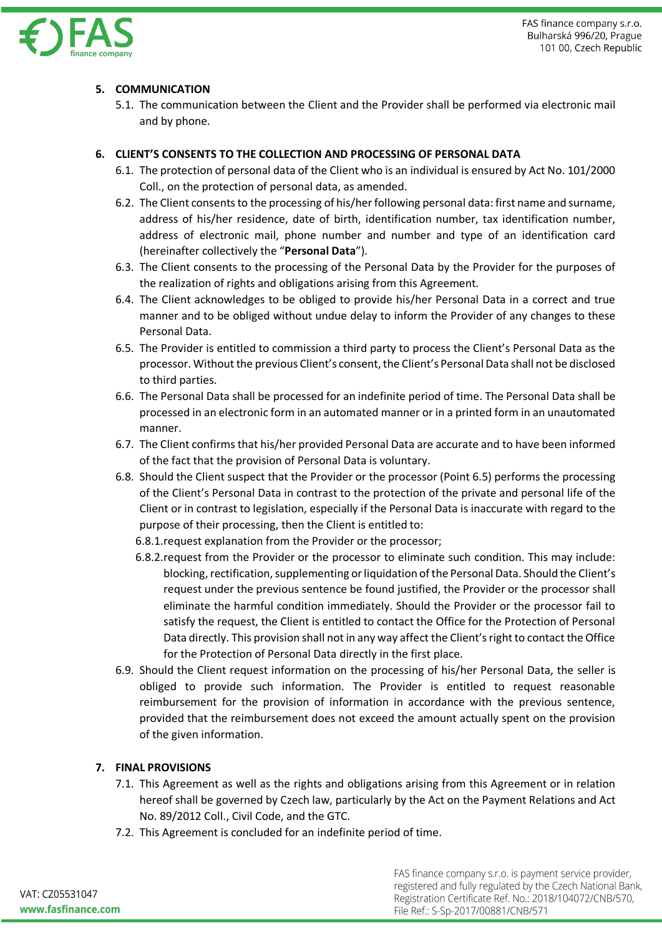

# **5. COMMUNICATION**

5.1. The communication between the Client and the Provider shall be performed via electronic mail and by phone.

## **6. CLIENT'S CONSENTS TO THE COLLECTION AND PROCESSING OF PERSONAL DATA**

- 6.1. The protection of personal data of the Client who is an individual is ensured by Act No. 101/2000 Coll., on the protection of personal data, as amended.
- 6.2. The Client consents to the processing of his/her following personal data: first name and surname, address of his/her residence, date of birth, identification number, tax identification number, address of electronic mail, phone number and number and type of an identification card (hereinafter collectively the "**Personal Data**").
- 6.3. The Client consents to the processing of the Personal Data by the Provider for the purposes of the realization of rights and obligations arising from this Agreement.
- 6.4. The Client acknowledges to be obliged to provide his/her Personal Data in a correct and true manner and to be obliged without undue delay to inform the Provider of any changes to these Personal Data.
- 6.5. The Provider is entitled to commission a third party to process the Client's Personal Data as the processor. Without the previous Client's consent, the Client's Personal Data shall not be disclosed to third parties.
- 6.6. The Personal Data shall be processed for an indefinite period of time. The Personal Data shall be processed in an electronic form in an automated manner or in a printed form in an unautomated manner.
- 6.7. The Client confirms that his/her provided Personal Data are accurate and to have been informed of the fact that the provision of Personal Data is voluntary.
- 6.8. Should the Client suspect that the Provider or the processor (Point 6.5) performs the processing of the Client's Personal Data in contrast to the protection of the private and personal life of the Client or in contrast to legislation, especially if the Personal Data is inaccurate with regard to the purpose of their processing, then the Client is entitled to:
	- 6.8.1.request explanation from the Provider or the processor;
	- 6.8.2.request from the Provider or the processor to eliminate such condition. This may include: blocking, rectification, supplementing or liquidation of the Personal Data. Should the Client's request under the previous sentence be found justified, the Provider or the processor shall eliminate the harmful condition immediately. Should the Provider or the processor fail to satisfy the request, the Client is entitled to contact the Office for the Protection of Personal Data directly. This provision shall not in any way affect the Client's right to contact the Office for the Protection of Personal Data directly in the first place.
- 6.9. Should the Client request information on the processing of his/her Personal Data, the seller is obliged to provide such information. The Provider is entitled to request reasonable reimbursement for the provision of information in accordance with the previous sentence, provided that the reimbursement does not exceed the amount actually spent on the provision of the given information.

## **7. FINAL PROVISIONS**

- 7.1. This Agreement as well as the rights and obligations arising from this Agreement or in relation hereof shall be governed by Czech law, particularly by the Act on the Payment Relations and Act No. 89/2012 Coll., Civil Code, and the GTC.
- 7.2. This Agreement is concluded for an indefinite period of time.

VAT: CZ05531047 www.fasfinance.com FAS finance company s.r.o. is payment service provider, registered and fully regulated by the Czech National Bank, Registration Certificate Ref. No.: 2018/104072/CNB/570, File Ref.: S-Sp-2017/00881/CNB/571